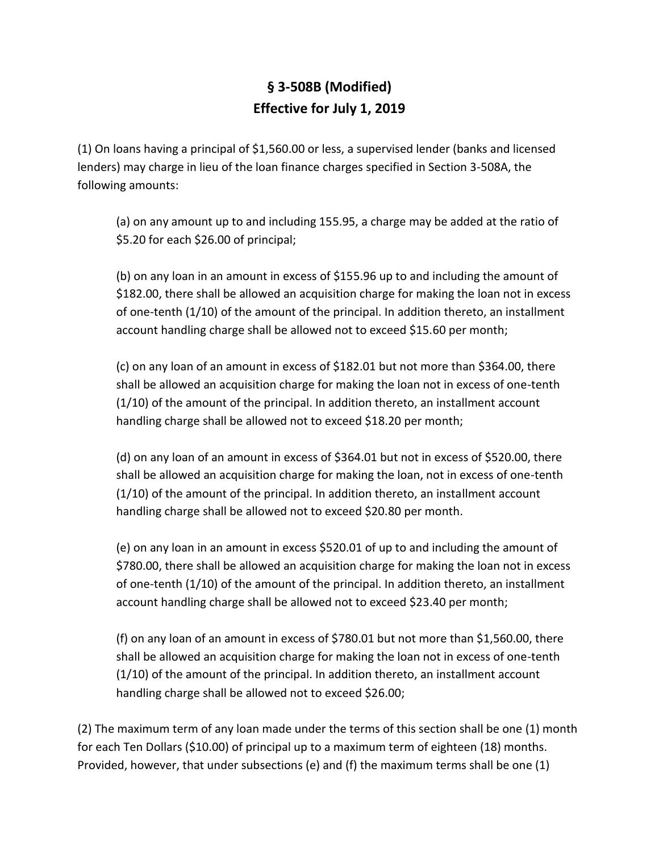## **§ 3-508B (Modified) Effective for July 1, 2019**

(1) On loans having a principal of \$1,560.00 or less, a supervised lender (banks and licensed lenders) may charge in lieu of the loan finance charges specified in Section 3-508A, the following amounts:

(a) on any amount up to and including 155.95, a charge may be added at the ratio of \$5.20 for each \$26.00 of principal;

(b) on any loan in an amount in excess of \$155.96 up to and including the amount of \$182.00, there shall be allowed an acquisition charge for making the loan not in excess of one-tenth (1/10) of the amount of the principal. In addition thereto, an installment account handling charge shall be allowed not to exceed \$15.60 per month;

(c) on any loan of an amount in excess of \$182.01 but not more than \$364.00, there shall be allowed an acquisition charge for making the loan not in excess of one-tenth (1/10) of the amount of the principal. In addition thereto, an installment account handling charge shall be allowed not to exceed \$18.20 per month;

(d) on any loan of an amount in excess of \$364.01 but not in excess of \$520.00, there shall be allowed an acquisition charge for making the loan, not in excess of one-tenth (1/10) of the amount of the principal. In addition thereto, an installment account handling charge shall be allowed not to exceed \$20.80 per month.

(e) on any loan in an amount in excess \$520.01 of up to and including the amount of \$780.00, there shall be allowed an acquisition charge for making the loan not in excess of one-tenth (1/10) of the amount of the principal. In addition thereto, an installment account handling charge shall be allowed not to exceed \$23.40 per month;

(f) on any loan of an amount in excess of \$780.01 but not more than \$1,560.00, there shall be allowed an acquisition charge for making the loan not in excess of one-tenth (1/10) of the amount of the principal. In addition thereto, an installment account handling charge shall be allowed not to exceed \$26.00;

(2) The maximum term of any loan made under the terms of this section shall be one (1) month for each Ten Dollars (\$10.00) of principal up to a maximum term of eighteen (18) months. Provided, however, that under subsections (e) and (f) the maximum terms shall be one (1)